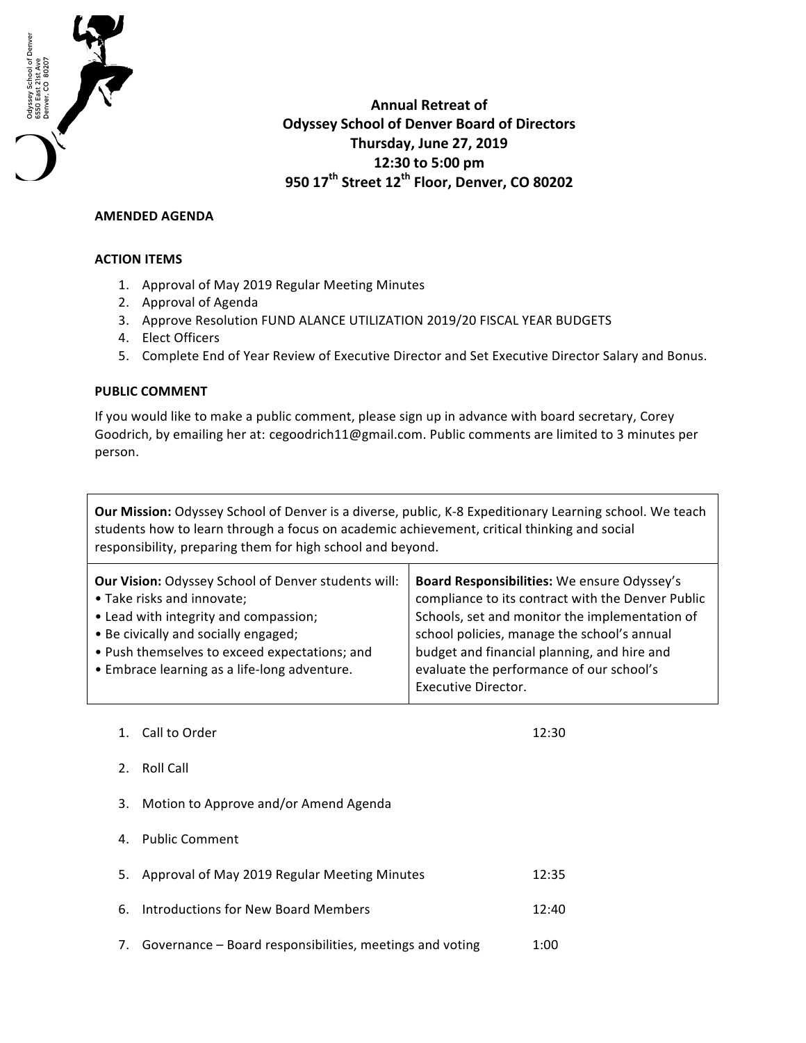

**Annual Retreat of Odyssey School of Denver Board of Directors Thursday, June 27, 2019 12:30 to 5:00 pm 950 17th Street 12th Floor, Denver, CO 80202**

## **AMENDED AGENDA**

## **ACTION ITEMS**

- 1. Approval of May 2019 Regular Meeting Minutes
- 2. Approval of Agenda
- 3. Approve Resolution FUND ALANCE UTILIZATION 2019/20 FISCAL YEAR BUDGETS
- 4. Elect Officers
- 5. Complete End of Year Review of Executive Director and Set Executive Director Salary and Bonus.

## **PUBLIC COMMENT**

If you would like to make a public comment, please sign up in advance with board secretary, Corey Goodrich, by emailing her at: cegoodrich11@gmail.com. Public comments are limited to 3 minutes per person.

**Our Mission:** Odyssey School of Denver is a diverse, public, K-8 Expeditionary Learning school. We teach students how to learn through a focus on academic achievement, critical thinking and social responsibility, preparing them for high school and beyond.

| Board Responsibilities: We ensure Odyssey's<br>compliance to its contract with the Denver Public<br>Schools, set and monitor the implementation of<br>school policies, manage the school's annual<br>budget and financial planning, and hire and<br>evaluate the performance of our school's |
|----------------------------------------------------------------------------------------------------------------------------------------------------------------------------------------------------------------------------------------------------------------------------------------------|
| <b>Executive Director.</b>                                                                                                                                                                                                                                                                   |
|                                                                                                                                                                                                                                                                                              |

1. Call to Order 12:30

- 2. Roll Call
- 3. Motion to Approve and/or Amend Agenda
- 4. Public Comment

| 5. Approval of May 2019 Regular Meeting Minutes             | 12:35 |
|-------------------------------------------------------------|-------|
| 6. Introductions for New Board Members                      | 12:40 |
| 7. Governance – Board responsibilities, meetings and voting | 1:00  |